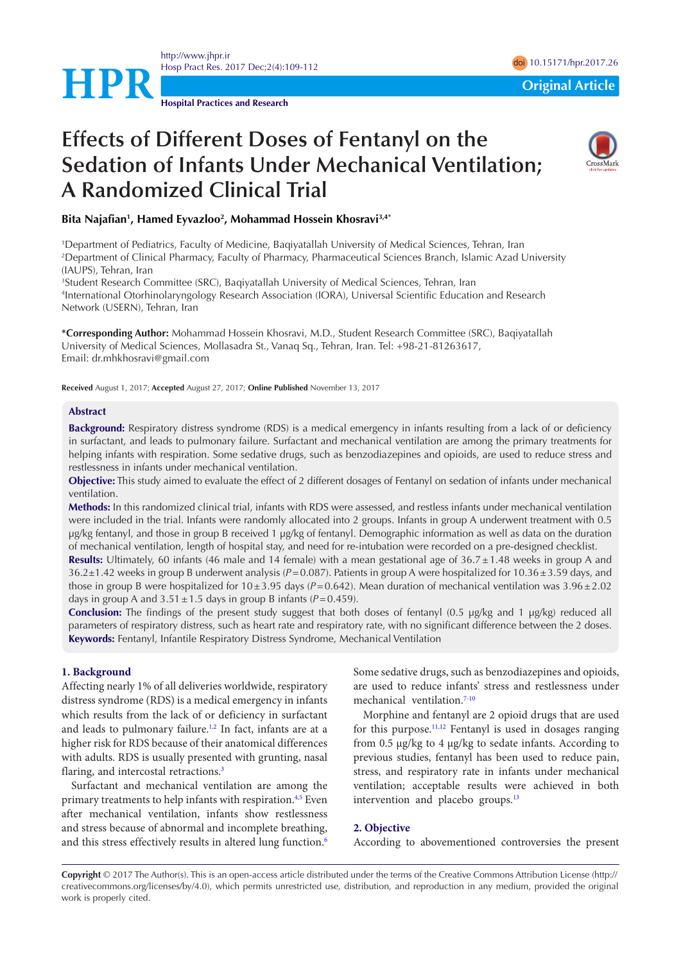<http://www.jhpr.ir> Hosp Pract Res. 2017 Dec;2(4):109-112



**Hospital Practices and Research**

# **Effects of Different Doses of Fentanyl on the Sedation of Infants Under Mechanical Ventilation; A Randomized Clinical Trial**



#### Bita Najafian<sup>1</sup>, Hamed Eyvazloo<sup>2</sup>, Mohammad Hossein Khosravi<sup>3,4</sup>\*

1 Department of Pediatrics, Faculty of Medicine, Baqiyatallah University of Medical Sciences, Tehran, Iran 2 Department of Clinical Pharmacy, Faculty of Pharmacy, Pharmaceutical Sciences Branch, Islamic Azad University (IAUPS), Tehran, Iran

3 Student Research Committee (SRC), Baqiyatallah University of Medical Sciences, Tehran, Iran 4 International Otorhinolaryngology Research Association (IORA), Universal Scientific Education and Research Network (USERN), Tehran, Iran

**\*Corresponding Author:** Mohammad Hossein Khosravi, M.D., Student Research Committee (SRC), Baqiyatallah University of Medical Sciences, Mollasadra St., Vanaq Sq., Tehran, Iran. Tel: +98-21-81263617, Email: dr.mhkhosravi@gmail.com

**Received** August 1, 2017; **Accepted** August 27, 2017; **Online Published** November 13, 2017

#### **Abstract**

**Background:** Respiratory distress syndrome (RDS) is a medical emergency in infants resulting from a lack of or deficiency in surfactant, and leads to pulmonary failure. Surfactant and mechanical ventilation are among the primary treatments for helping infants with respiration. Some sedative drugs, such as benzodiazepines and opioids, are used to reduce stress and restlessness in infants under mechanical ventilation.

**Objective:** This study aimed to evaluate the effect of 2 different dosages of Fentanyl on sedation of infants under mechanical ventilation.

**Methods:** In this randomized clinical trial, infants with RDS were assessed, and restless infants under mechanical ventilation were included in the trial. Infants were randomly allocated into 2 groups. Infants in group A underwent treatment with 0.5 μg/kg fentanyl, and those in group B received 1 μg/kg of fentanyl. Demographic information as well as data on the duration of mechanical ventilation, length of hospital stay, and need for re-intubation were recorded on a pre-designed checklist.

**Results:** Ultimately, 60 infants (46 male and 14 female) with a mean gestational age of  $36.7 \pm 1.48$  weeks in group A and 36.2±1.42 weeks in group B underwent analysis (*P*=0.087). Patients in group A were hospitalized for 10.36±3.59 days, and those in group B were hospitalized for 10±3.95 days (*P*=0.642). Mean duration of mechanical ventilation was 3.96±2.02 days in group A and  $3.51 \pm 1.5$  days in group B infants ( $P = 0.459$ ).

**Conclusion:** The findings of the present study suggest that both doses of fentanyl (0.5 μg/kg and 1 μg/kg) reduced all parameters of respiratory distress, such as heart rate and respiratory rate, with no significant difference between the 2 doses. **Keywords:** Fentanyl, Infantile Respiratory Distress Syndrome, Mechanical Ventilation

#### **1. Background**

Affecting nearly 1% of all deliveries worldwide, respiratory distress syndrome (RDS) is a medical emergency in infants which results from the lack of or deficiency in surfactant and leads to pulmonary failure.<sup>[1](#page-3-0),[2](#page-3-1)</sup> In fact, infants are at a higher risk for RDS because of their anatomical differences with adults. RDS is usually presented with grunting, nasal flaring, and intercostal retractions.<sup>3</sup>

Surfactant and mechanical ventilation are among the primary treatments to help infants with respiration.<sup>[4](#page-3-3),[5](#page-3-4)</sup> Even after mechanical ventilation, infants show restlessness and stress because of abnormal and incomplete breathing, and this stress effectively results in altered lung function.<sup>[6](#page-3-5)</sup>

Some sedative drugs, such as benzodiazepines and opioids, are used to reduce infants' stress and restlessness under mechanical ventilation[.7](#page-3-6)[-10](#page-3-7)

Morphine and fentanyl are 2 opioid drugs that are used for this purpose.<sup>[11](#page-3-8)[,12](#page-3-9)</sup> Fentanyl is used in dosages ranging from 0.5 μg/kg to 4 μg/kg to sedate infants. According to previous studies, fentanyl has been used to reduce pain, stress, and respiratory rate in infants under mechanical ventilation; acceptable results were achieved in both intervention and placebo groups.<sup>[13](#page-3-10)</sup>

#### **2. Objective**

According to abovementioned controversies the present

**Copyright** © 2017 The Author(s). This is an open-access article distributed under the terms of the Creative Commons Attribution License (http:// creativecommons.org/licenses/by/4.0), which permits unrestricted use, distribution, and reproduction in any medium, provided the original work is properly cited.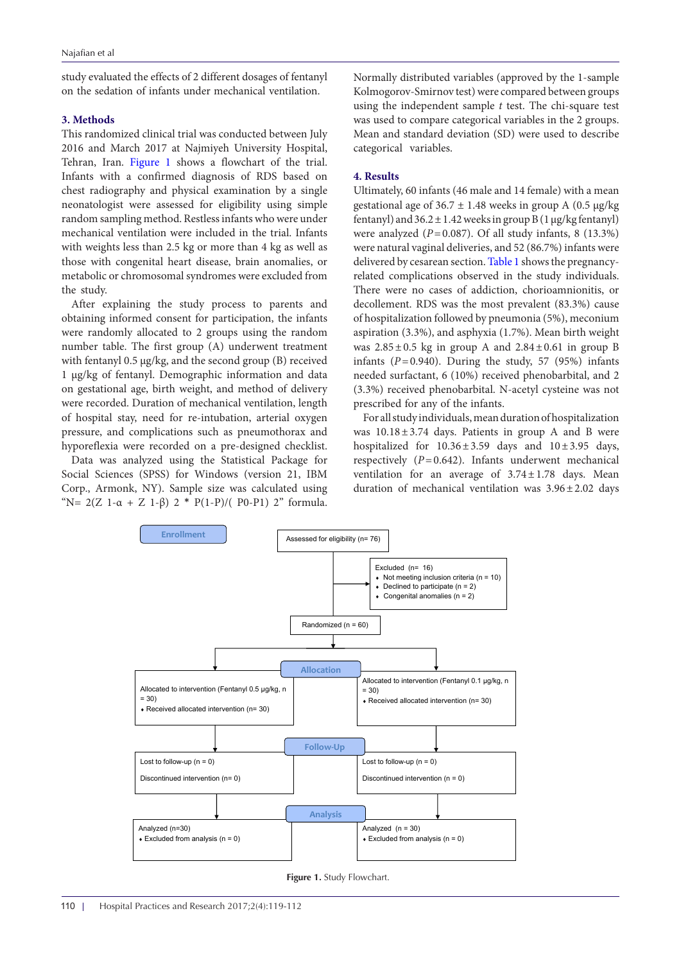study evaluated the effects of 2 different dosages of fentanyl on the sedation of infants under mechanical ventilation.

## **3. Methods**

This randomized clinical trial was conducted between July 2016 and March 2017 at Najmiyeh University Hospital, Tehran, Iran. [Figure](#page-1-0) 1 shows a flowchart of the trial. Infants with a confirmed diagnosis of RDS based on chest radiography and physical examination by a single neonatologist were assessed for eligibility using simple random sampling method. Restless infants who were under mechanical ventilation were included in the trial. Infants with weights less than 2.5 kg or more than 4 kg as well as those with congenital heart disease, brain anomalies, or metabolic or chromosomal syndromes were excluded from the study.

After explaining the study process to parents and obtaining informed consent for participation, the infants were randomly allocated to 2 groups using the random number table. The first group (A) underwent treatment with fentanyl 0.5 μg/kg, and the second group (B) received 1 μg/kg of fentanyl. Demographic information and data on gestational age, birth weight, and method of delivery were recorded. Duration of mechanical ventilation, length of hospital stay, need for re-intubation, arterial oxygen pressure, and complications such as pneumothorax and hyporeflexia were recorded on a pre-designed checklist.

Data was analyzed using the Statistical Package for Social Sciences (SPSS) for Windows (version 21, IBM Corp., Armonk, NY). Sample size was calculated using "N=  $2(Z \ 1-\alpha + Z \ 1-\beta) \ 2 * P(1-P)/(P0-P1) \ 2"$  formula.

Normally distributed variables (approved by the 1-sample Kolmogorov-Smirnov test) were compared between groups using the independent sample *t* test. The chi-square test was used to compare categorical variables in the 2 groups. Mean and standard deviation (SD) were used to describe categorical variables.

### **4. Results**

Ultimately, 60 infants (46 male and 14 female) with a mean gestational age of  $36.7 \pm 1.48$  weeks in group A (0.5  $\mu$ g/kg) fentanyl) and  $36.2 \pm 1.42$  weeks in group B (1 µg/kg fentanyl) were analyzed  $(P=0.087)$ . Of all study infants, 8 (13.3%) were natural vaginal deliveries, and 52 (86.7%) infants were delivered by cesarean section. [Table 1](#page-2-0) shows the pregnancyrelated complications observed in the study individuals. There were no cases of addiction, chorioamnionitis, or decollement. RDS was the most prevalent (83.3%) cause of hospitalization followed by pneumonia (5%), meconium aspiration (3.3%), and asphyxia (1.7%). Mean birth weight was  $2.85\pm0.5$  kg in group A and  $2.84\pm0.61$  in group B infants  $(P=0.940)$ . During the study, 57 (95%) infants needed surfactant, 6 (10%) received phenobarbital, and 2 (3.3%) received phenobarbital. N-acetyl cysteine was not prescribed for any of the infants.

For all study individuals, mean duration of hospitalization was  $10.18 \pm 3.74$  days. Patients in group A and B were hospitalized for  $10.36 \pm 3.59$  days and  $10 \pm 3.95$  days, respectively (*P*=0.642). Infants underwent mechanical ventilation for an average of  $3.74 \pm 1.78$  days. Mean duration of mechanical ventilation was  $3.96 \pm 2.02$  days

<span id="page-1-0"></span>

**Figure 1. Study Flowchart.**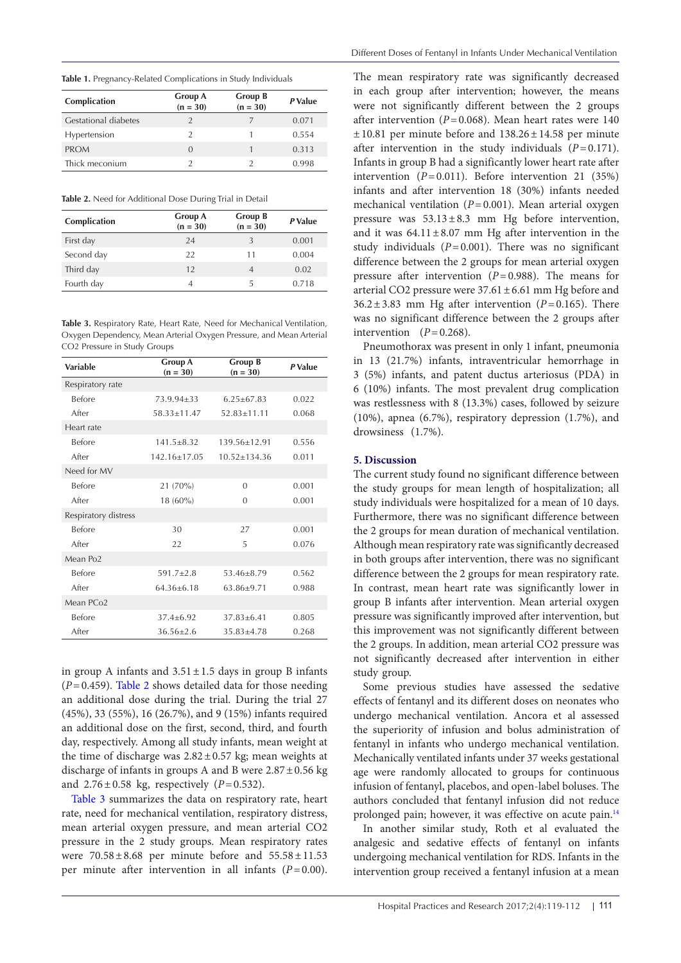<span id="page-2-0"></span>**Table 1.** Pregnancy-Related Complications in Study Individuals

| Complication                | <b>Group A</b><br>$(n = 30)$ | Group B<br>$(n = 30)$ | P Value |
|-----------------------------|------------------------------|-----------------------|---------|
| <b>Gestational diabetes</b> |                              |                       | 0.071   |
| Hypertension                | $\mathcal{P}$                |                       | 0.554   |
| <b>PROM</b>                 | $\Omega$                     |                       | 0.313   |
| Thick meconium              |                              |                       | 0.998   |

<span id="page-2-1"></span>**Table 2.** Need for Additional Dose During Trial in Detail

| Complication | Group A<br>$(n = 30)$ | Group B<br>$(n = 30)$ | P Value |
|--------------|-----------------------|-----------------------|---------|
| First day    | 24                    |                       | 0.001   |
| Second day   | 22                    | 11                    | 0.004   |
| Third day    | 12                    | $\overline{A}$        | 0.02    |
| Fourth day   | 4                     | 5                     | 0.718   |

<span id="page-2-2"></span>**Table 3.** Respiratory Rate, Heart Rate, Need for Mechanical Ventilation, Oxygen Dependency, Mean Arterial Oxygen Pressure, and Mean Arterial CO2 Pressure in Study Groups

| Variable             | <b>Group A</b><br>$(n = 30)$ | <b>Group B</b><br>$(n = 30)$ | P Value |
|----------------------|------------------------------|------------------------------|---------|
| Respiratory rate     |                              |                              |         |
| <b>Before</b>        | $73.9.94 + 33$               | $6.25 + 67.83$               | 0.022   |
| After                | $58.33 + 11.47$              | $52.83 + 11.11$              | 0.068   |
| Heart rate           |                              |                              |         |
| <b>Before</b>        | $141.5 + 8.32$               | 139.56+12.91                 | 0.556   |
| After                | $142.16 + 17.05$             | $10.52 + 134.36$             | 0.011   |
| Need for MV          |                              |                              |         |
| <b>Before</b>        | 21(70%)                      | $\Omega$                     | 0.001   |
| After                | $18(60\%)$                   | $\Omega$                     | 0.001   |
| Respiratory distress |                              |                              |         |
| Before               | 30                           | 27                           | 0.001   |
| After                | 22                           | 5                            | 0.076   |
| Mean Po <sub>2</sub> |                              |                              |         |
| <b>Before</b>        | $591.7 + 2.8$                | $53.46 + 8.79$               | 0.562   |
| After                | $64.36 + 6.18$               | $63.86 + 9.71$               | 0.988   |
| Mean PCo2            |                              |                              |         |
| Before               | $37.4 + 6.92$                | $37.83 + 6.41$               | 0.805   |
| After                | $36.56 \pm 2.6$              | $35.83 \pm 4.78$             | 0.268   |

in group A infants and  $3.51 \pm 1.5$  days in group B infants (*P*=0.459). [Table 2](#page-2-1) shows detailed data for those needing an additional dose during the trial. During the trial 27 (45%), 33 (55%), 16 (26.7%), and 9 (15%) infants required an additional dose on the first, second, third, and fourth day, respectively. Among all study infants, mean weight at the time of discharge was  $2.82 \pm 0.57$  kg; mean weights at discharge of infants in groups A and B were  $2.87 \pm 0.56$  kg and  $2.76 \pm 0.58$  kg, respectively (*P*=0.532).

[Table 3](#page-2-2) summarizes the data on respiratory rate, heart rate, need for mechanical ventilation, respiratory distress, mean arterial oxygen pressure, and mean arterial CO2 pressure in the 2 study groups. Mean respiratory rates were  $70.58 \pm 8.68$  per minute before and  $55.58 \pm 11.53$ per minute after intervention in all infants (*P*=0.00).

The mean respiratory rate was significantly decreased in each group after intervention; however, the means were not significantly different between the 2 groups after intervention ( $P=0.068$ ). Mean heart rates were 140  $\pm 10.81$  per minute before and  $138.26 \pm 14.58$  per minute after intervention in the study individuals  $(P=0.171)$ . Infants in group B had a significantly lower heart rate after intervention  $(P=0.011)$ . Before intervention 21 (35%) infants and after intervention 18 (30%) infants needed mechanical ventilation (*P*=0.001). Mean arterial oxygen pressure was  $53.13 \pm 8.3$  mm Hg before intervention, and it was  $64.11 \pm 8.07$  mm Hg after intervention in the study individuals  $(P=0.001)$ . There was no significant difference between the 2 groups for mean arterial oxygen pressure after intervention (*P*=0.988). The means for arterial CO2 pressure were  $37.61 \pm 6.61$  mm Hg before and  $36.2 \pm 3.83$  mm Hg after intervention ( $P=0.165$ ). There was no significant difference between the 2 groups after intervention  $(P=0.268)$ .

Pneumothorax was present in only 1 infant, pneumonia in 13 (21.7%) infants, intraventricular hemorrhage in 3 (5%) infants, and patent ductus arteriosus (PDA) in 6 (10%) infants. The most prevalent drug complication was restlessness with 8 (13.3%) cases, followed by seizure (10%), apnea (6.7%), respiratory depression (1.7%), and drowsiness (1.7%).

## **5. Discussion**

The current study found no significant difference between the study groups for mean length of hospitalization; all study individuals were hospitalized for a mean of 10 days. Furthermore, there was no significant difference between the 2 groups for mean duration of mechanical ventilation. Although mean respiratory rate was significantly decreased in both groups after intervention, there was no significant difference between the 2 groups for mean respiratory rate. In contrast, mean heart rate was significantly lower in group B infants after intervention. Mean arterial oxygen pressure was significantly improved after intervention, but this improvement was not significantly different between the 2 groups. In addition, mean arterial CO2 pressure was not significantly decreased after intervention in either study group.

Some previous studies have assessed the sedative effects of fentanyl and its different doses on neonates who undergo mechanical ventilation. Ancora et al assessed the superiority of infusion and bolus administration of fentanyl in infants who undergo mechanical ventilation. Mechanically ventilated infants under 37 weeks gestational age were randomly allocated to groups for continuous infusion of fentanyl, placebos, and open-label boluses. The authors concluded that fentanyl infusion did not reduce prolonged pain; however, it was effective on acute pain.[14](#page-3-11)

In another similar study, Roth et al evaluated the analgesic and sedative effects of fentanyl on infants undergoing mechanical ventilation for RDS. Infants in the intervention group received a fentanyl infusion at a mean